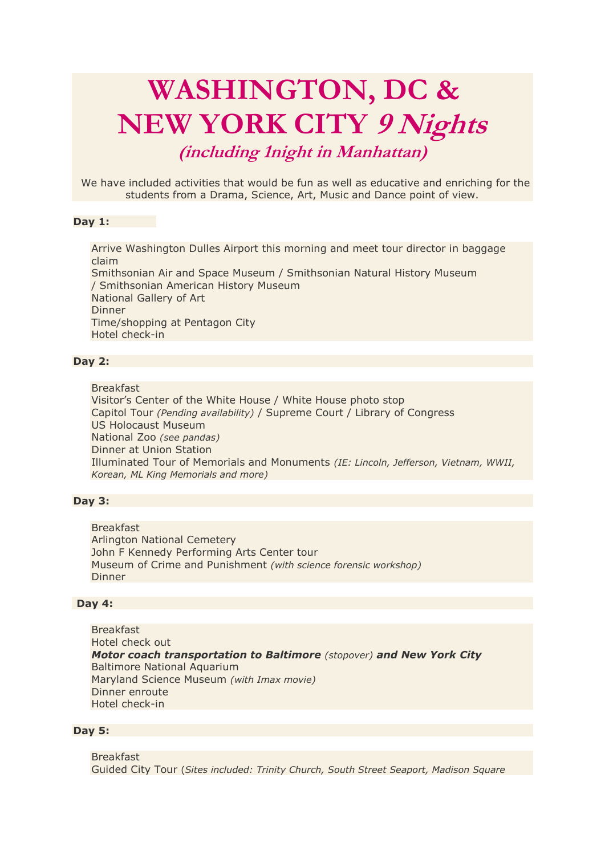# **WASHINGTON, DC & NEW YORK CITY 9 Nights**

# **(including 1night in Manhattan)**

We have included activities that would be fun as well as educative and enriching for the students from a Drama, Science, Art, Music and Dance point of view.

# **Day 1:**

Arrive Washington Dulles Airport this morning and meet tour director in baggage claim Smithsonian Air and Space Museum / Smithsonian Natural History Museum / Smithsonian American History Museum National Gallery of Art Dinner Time/shopping at Pentagon City Hotel check-in

# **Day 2:**

Breakfast

Visitor's Center of the White House / White House photo stop Capitol Tour *(Pending availability)* / Supreme Court / Library of Congress US Holocaust Museum National Zoo *(see pandas)* Dinner at Union Station Illuminated Tour of Memorials and Monuments *(IE: Lincoln, Jefferson, Vietnam, WWII, Korean, ML King Memorials and more)*

# **Day 3:**

Breakfast Arlington National Cemetery John F Kennedy Performing Arts Center tour Museum of Crime and Punishment *(with science forensic workshop)* Dinner

#### **Day 4:**

Breakfast Hotel check out *Motor coach transportation to Baltimore (stopover) and New York City* Baltimore National Aquarium Maryland Science Museum *(with Imax movie)* Dinner enroute Hotel check-in

# **Day 5:**

Breakfast Guided City Tour (*Sites included: Trinity Church, South Street Seaport, Madison Square*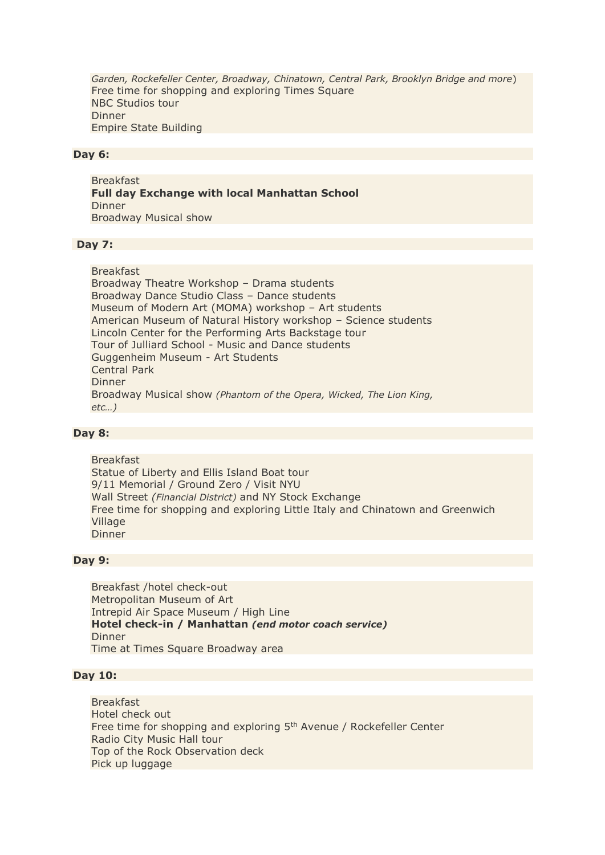*Garden, Rockefeller Center, Broadway, Chinatown, Central Park, Brooklyn Bridge and more*) Free time for shopping and exploring Times Square NBC Studios tour Dinner Empire State Building

#### **Day 6:**

Breakfast **Full day Exchange with local Manhattan School** Dinner Broadway Musical show

#### **Day 7:**

Breakfast Broadway Theatre Workshop – Drama students Broadway Dance Studio Class – Dance students Museum of Modern Art (MOMA) workshop – Art students American Museum of Natural History workshop – Science students Lincoln Center for the Performing Arts Backstage tour Tour of Julliard School - Music and Dance students Guggenheim Museum - Art Students Central Park Dinner Broadway Musical show *(Phantom of the Opera, Wicked, The Lion King, etc…)* 

#### **Day 8:**

Breakfast Statue of Liberty and Ellis Island Boat tour 9/11 Memorial / Ground Zero / Visit NYU Wall Street *(Financial District)* and NY Stock Exchange Free time for shopping and exploring Little Italy and Chinatown and Greenwich Village Dinner

#### **Day 9:**

Breakfast /hotel check-out Metropolitan Museum of Art Intrepid Air Space Museum / High Line **Hotel check-in / Manhattan** *(end motor coach service)* Dinner Time at Times Square Broadway area

# **Day 10:**

Breakfast Hotel check out Free time for shopping and exploring 5<sup>th</sup> Avenue / Rockefeller Center Radio City Music Hall tour Top of the Rock Observation deck Pick up luggage